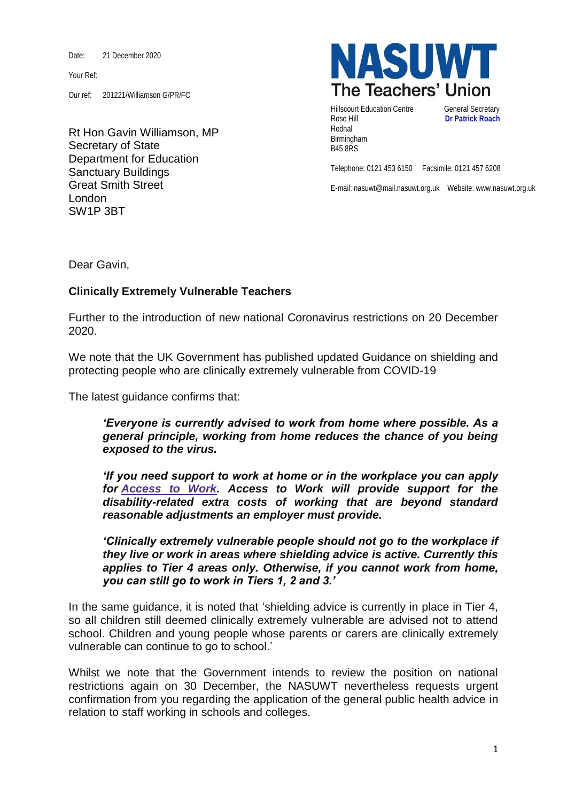Date: 21 December 2020

Your Ref:

Our ref: 201221/Williamson G/PR/FC

Rt Hon Gavin Williamson, MP Secretary of State Department for Education Sanctuary Buildings Great Smith Street London SW1P 3BT



Hillscourt Education Centre **General Secretary** Rose Hill **Dr Patrick Roach** Rednal Birmingham B45 8RS

Telephone: 0121 453 6150 Facsimile: 0121 457 6208

E-mail: nasuwt@mail.nasuwt.org.uk Website: www.nasuwt.org.uk

Dear Gavin,

## **Clinically Extremely Vulnerable Teachers**

Further to the introduction of new national Coronavirus restrictions on 20 December 2020.

We note that the UK Government has published updated [Guidance on shielding and](https://www.gov.uk/government/publications/guidance-on-shielding-and-protecting-extremely-vulnerable-persons-from-covid-19/guidance-on-shielding-and-protecting-extremely-vulnerable-persons-from-covid-19)  [protecting people who are clinically extremely vulnerable from COVID-19](https://www.gov.uk/government/publications/guidance-on-shielding-and-protecting-extremely-vulnerable-persons-from-covid-19/guidance-on-shielding-and-protecting-extremely-vulnerable-persons-from-covid-19)

The latest guidance confirms that:

*'Everyone is currently advised to work from home where possible. As a general principle, working from home reduces the chance of you being exposed to the virus.*

*'If you need support to work at home or in the workplace you can apply for [Access](https://www.gov.uk/access-to-work) to Work. Access to Work will provide support for the disability-related extra costs of working that are beyond standard reasonable adjustments an employer must provide.*

*'Clinically extremely vulnerable people should not go to the workplace if they live or work in areas where shielding advice is active. Currently this applies to Tier 4 areas only. Otherwise, if you cannot work from home, you can still go to work in Tiers 1, 2 and 3.'*

In the same guidance, it is noted that 'shielding advice is currently in place in Tier 4, so all children still deemed clinically extremely vulnerable are advised not to attend school. Children and young people whose parents or carers are clinically extremely vulnerable can continue to go to school.'

Whilst we note that the Government intends to review the position on national restrictions again on 30 December, the NASUWT nevertheless requests urgent confirmation from you regarding the application of the general public health advice in relation to staff working in schools and colleges.